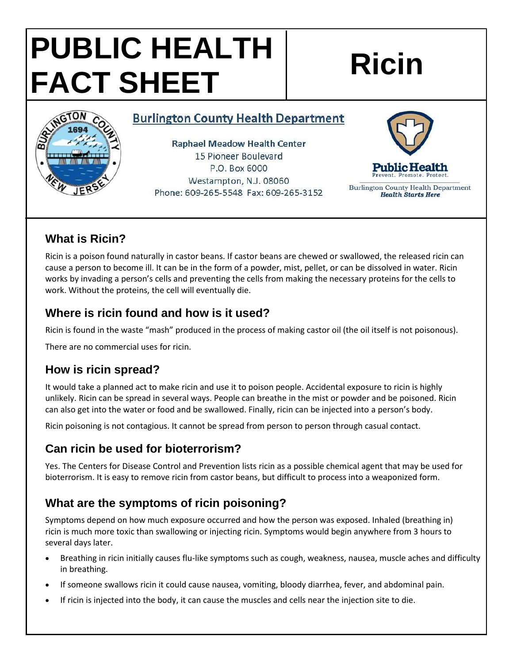# **PUBLIC HEALTH FACT SHEET Ricin**

#### **Burlington County Health Department**

**Raphael Meadow Health Center** 15 Pioneer Boulevard P.O. Box 6000 Westampton, N.J. 08060 Phone: 609-265-5548 Fax: 609-265-3152



Burlington County Health Department **Health Starts Here** 

# **What is Ricin?**

GTON

Ricin is a poison found naturally in castor beans. If castor beans are chewed or swallowed, the released ricin can cause a person to become ill. It can be in the form of a powder, mist, pellet, or can be dissolved in water. Ricin works by invading a person's cells and preventing the cells from making the necessary proteins for the cells to work. Without the proteins, the cell will eventually die.

### **Where is ricin found and how is it used?**

Ricin is found in the waste "mash" produced in the process of making castor oil (the oil itself is not poisonous).

There are no commercial uses for ricin.

# **How is ricin spread?**

It would take a planned act to make ricin and use it to poison people. Accidental exposure to ricin is highly unlikely. Ricin can be spread in several ways. People can breathe in the mist or powder and be poisoned. Ricin can also get into the water or food and be swallowed. Finally, ricin can be injected into a person's body.

Ricin poisoning is not contagious. It cannot be spread from person to person through casual contact.

#### **Can ricin be used for bioterrorism?**

Yes. The Centers for Disease Control and Prevention lists ricin as a possible chemical agent that may be used for bioterrorism. It is easy to remove ricin from castor beans, but difficult to process into a weaponized form.

# **What are the symptoms of ricin poisoning?**

Symptoms depend on how much exposure occurred and how the person was exposed. Inhaled (breathing in) ricin is much more toxic than swallowing or injecting ricin. Symptoms would begin anywhere from 3 hours to several days later.

- Breathing in ricin initially causes flu-like symptoms such as cough, weakness, nausea, muscle aches and difficulty in breathing.
- If someone swallows ricin it could cause nausea, vomiting, bloody diarrhea, fever, and abdominal pain.
- If ricin is injected into the body, it can cause the muscles and cells near the injection site to die.